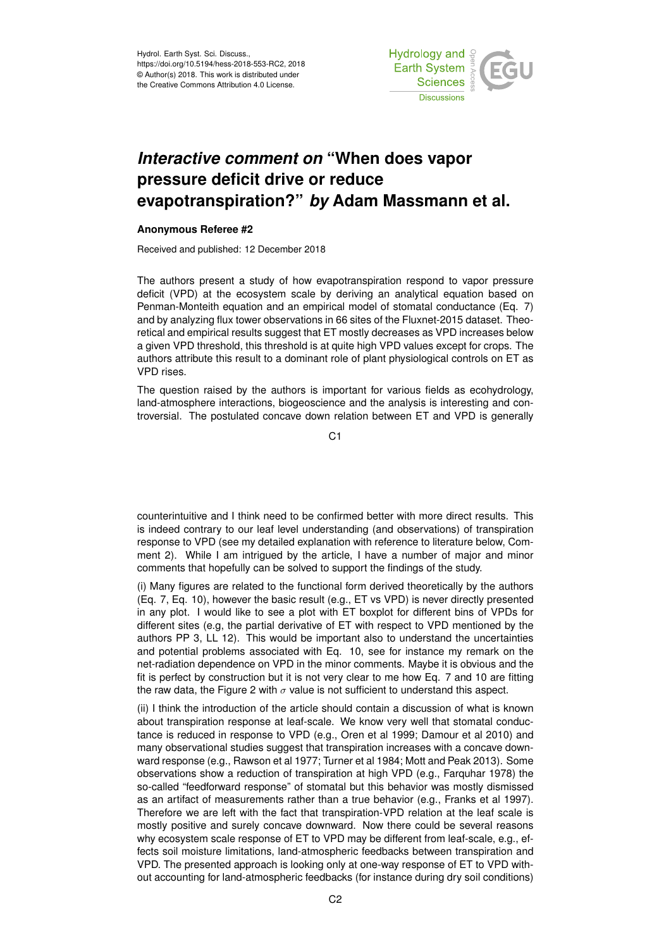

## *Interactive comment on* **"When does vapor pressure deficit drive or reduce evapotranspiration?"** *by* **Adam Massmann et al.**

## **Anonymous Referee #2**

Received and published: 12 December 2018

The authors present a study of how evapotranspiration respond to vapor pressure deficit (VPD) at the ecosystem scale by deriving an analytical equation based on Penman-Monteith equation and an empirical model of stomatal conductance (Eq. 7) and by analyzing flux tower observations in 66 sites of the Fluxnet-2015 dataset. Theoretical and empirical results suggest that ET mostly decreases as VPD increases below a given VPD threshold, this threshold is at quite high VPD values except for crops. The authors attribute this result to a dominant role of plant physiological controls on ET as VPD rises.

The question raised by the authors is important for various fields as ecohydrology, land-atmosphere interactions, biogeoscience and the analysis is interesting and controversial. The postulated concave down relation between ET and VPD is generally

C<sub>1</sub>

counterintuitive and I think need to be confirmed better with more direct results. This is indeed contrary to our leaf level understanding (and observations) of transpiration response to VPD (see my detailed explanation with reference to literature below, Comment 2). While I am intrigued by the article, I have a number of major and minor comments that hopefully can be solved to support the findings of the study.

(i) Many figures are related to the functional form derived theoretically by the authors (Eq. 7, Eq. 10), however the basic result (e.g., ET vs VPD) is never directly presented in any plot. I would like to see a plot with ET boxplot for different bins of VPDs for different sites (e.g, the partial derivative of ET with respect to VPD mentioned by the authors PP 3, LL 12). This would be important also to understand the uncertainties and potential problems associated with Eq. 10, see for instance my remark on the net-radiation dependence on VPD in the minor comments. Maybe it is obvious and the fit is perfect by construction but it is not very clear to me how Eq. 7 and 10 are fitting the raw data, the Figure 2 with  $\sigma$  value is not sufficient to understand this aspect.

(ii) I think the introduction of the article should contain a discussion of what is known about transpiration response at leaf-scale. We know very well that stomatal conductance is reduced in response to VPD (e.g., Oren et al 1999; Damour et al 2010) and many observational studies suggest that transpiration increases with a concave downward response (e.g., Rawson et al 1977; Turner et al 1984; Mott and Peak 2013). Some observations show a reduction of transpiration at high VPD (e.g., Farquhar 1978) the so-called "feedforward response" of stomatal but this behavior was mostly dismissed as an artifact of measurements rather than a true behavior (e.g., Franks et al 1997). Therefore we are left with the fact that transpiration-VPD relation at the leaf scale is mostly positive and surely concave downward. Now there could be several reasons why ecosystem scale response of ET to VPD may be different from leaf-scale, e.g., effects soil moisture limitations, land-atmospheric feedbacks between transpiration and VPD. The presented approach is looking only at one-way response of ET to VPD without accounting for land-atmospheric feedbacks (for instance during dry soil conditions)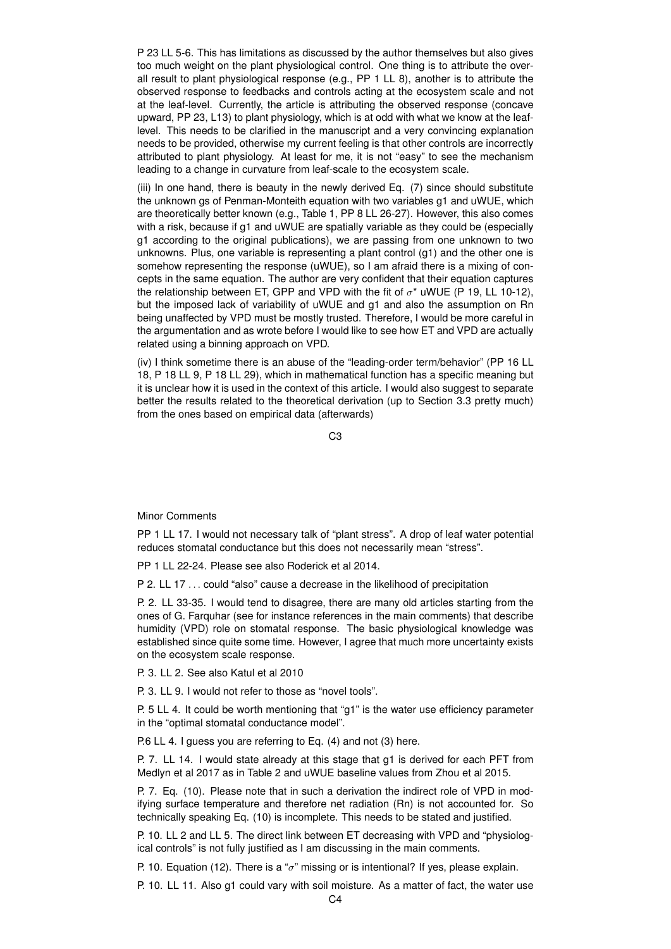P 23 LL 5-6. This has limitations as discussed by the author themselves but also gives too much weight on the plant physiological control. One thing is to attribute the overall result to plant physiological response (e.g., PP 1 LL 8), another is to attribute the observed response to feedbacks and controls acting at the ecosystem scale and not at the leaf-level. Currently, the article is attributing the observed response (concave upward, PP 23, L13) to plant physiology, which is at odd with what we know at the leaflevel. This needs to be clarified in the manuscript and a very convincing explanation needs to be provided, otherwise my current feeling is that other controls are incorrectly attributed to plant physiology. At least for me, it is not "easy" to see the mechanism leading to a change in curvature from leaf-scale to the ecosystem scale.

(iii) In one hand, there is beauty in the newly derived Eq. (7) since should substitute the unknown gs of Penman-Monteith equation with two variables g1 and uWUE, which are theoretically better known (e.g., Table 1, PP 8 LL 26-27). However, this also comes with a risk, because if g1 and uWUE are spatially variable as they could be (especially g1 according to the original publications), we are passing from one unknown to two unknowns. Plus, one variable is representing a plant control (g1) and the other one is somehow representing the response (uWUE), so I am afraid there is a mixing of concepts in the same equation. The author are very confident that their equation captures the relationship between ET, GPP and VPD with the fit of  $\sigma^*$  uWUE (P 19, LL 10-12), but the imposed lack of variability of uWUE and g1 and also the assumption on Rn being unaffected by VPD must be mostly trusted. Therefore, I would be more careful in the argumentation and as wrote before I would like to see how ET and VPD are actually related using a binning approach on VPD.

(iv) I think sometime there is an abuse of the "leading-order term/behavior" (PP 16 LL 18, P 18 LL 9, P 18 LL 29), which in mathematical function has a specific meaning but it is unclear how it is used in the context of this article. I would also suggest to separate better the results related to the theoretical derivation (up to Section 3.3 pretty much) from the ones based on empirical data (afterwards)

C3

## Minor Comments

PP 1 LL 17. I would not necessary talk of "plant stress". A drop of leaf water potential reduces stomatal conductance but this does not necessarily mean "stress".

PP 1 LL 22-24. Please see also Roderick et al 2014.

P 2. LL 17 ... could "also" cause a decrease in the likelihood of precipitation

P. 2. LL 33-35. I would tend to disagree, there are many old articles starting from the ones of G. Farquhar (see for instance references in the main comments) that describe humidity (VPD) role on stomatal response. The basic physiological knowledge was established since quite some time. However, I agree that much more uncertainty exists on the ecosystem scale response.

P. 3. LL 2. See also Katul et al 2010

P. 3. LL 9. I would not refer to those as "novel tools".

P. 5 LL 4. It could be worth mentioning that "g1" is the water use efficiency parameter in the "optimal stomatal conductance model".

P.6 LL 4. I guess you are referring to Eq. (4) and not (3) here.

P. 7. LL 14. I would state already at this stage that g1 is derived for each PFT from Medlyn et al 2017 as in Table 2 and uWUE baseline values from Zhou et al 2015.

P. 7. Eq. (10). Please note that in such a derivation the indirect role of VPD in modifying surface temperature and therefore net radiation (Rn) is not accounted for. So technically speaking Eq. (10) is incomplete. This needs to be stated and justified.

P. 10. LL 2 and LL 5. The direct link between ET decreasing with VPD and "physiological controls" is not fully justified as I am discussing in the main comments.

P. 10. Equation (12). There is a " $\sigma$ " missing or is intentional? If yes, please explain.

P. 10. LL 11. Also g1 could vary with soil moisture. As a matter of fact, the water use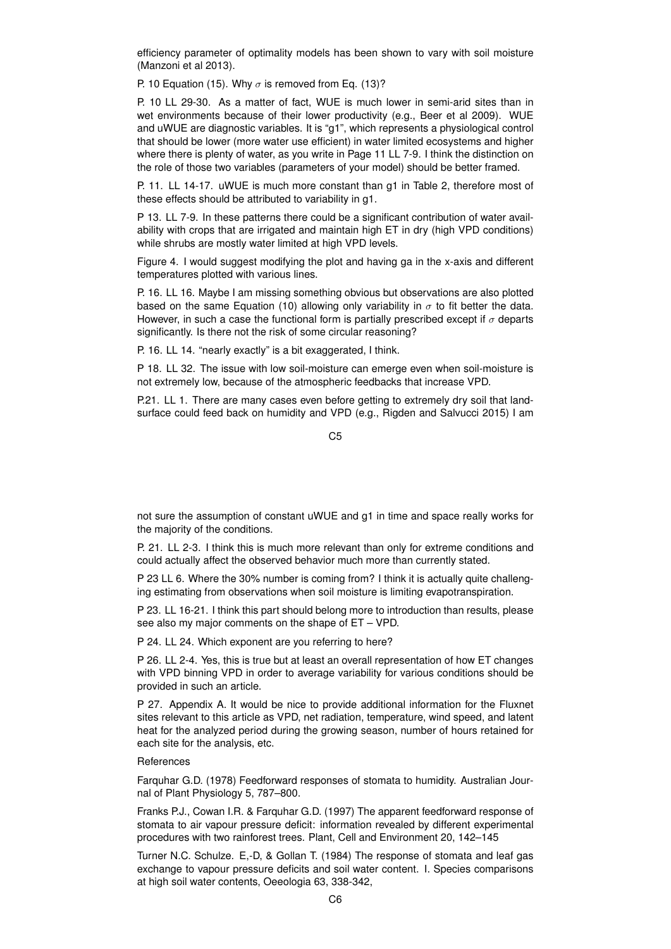efficiency parameter of optimality models has been shown to vary with soil moisture (Manzoni et al 2013).

P. 10 Equation (15). Why  $\sigma$  is removed from Eq. (13)?

P. 10 LL 29-30. As a matter of fact, WUE is much lower in semi-arid sites than in wet environments because of their lower productivity (e.g., Beer et al 2009). WUE and uWUE are diagnostic variables. It is "g1", which represents a physiological control that should be lower (more water use efficient) in water limited ecosystems and higher where there is plenty of water, as you write in Page 11 LL 7-9. I think the distinction on the role of those two variables (parameters of your model) should be better framed.

P. 11. LL 14-17. uWUE is much more constant than g1 in Table 2, therefore most of these effects should be attributed to variability in g1.

P 13. LL 7-9. In these patterns there could be a significant contribution of water availability with crops that are irrigated and maintain high ET in dry (high VPD conditions) while shrubs are mostly water limited at high VPD levels.

Figure 4. I would suggest modifying the plot and having ga in the x-axis and different temperatures plotted with various lines.

P. 16. LL 16. Maybe I am missing something obvious but observations are also plotted based on the same Equation (10) allowing only variability in  $\sigma$  to fit better the data. However, in such a case the functional form is partially prescribed except if  $\sigma$  departs significantly. Is there not the risk of some circular reasoning?

P. 16. LL 14. "nearly exactly" is a bit exaggerated, I think.

P 18. LL 32. The issue with low soil-moisture can emerge even when soil-moisture is not extremely low, because of the atmospheric feedbacks that increase VPD.

P.21. LL 1. There are many cases even before getting to extremely dry soil that landsurface could feed back on humidity and VPD (e.g., Rigden and Salvucci 2015) I am

C5

not sure the assumption of constant uWUE and g1 in time and space really works for the majority of the conditions.

P. 21. LL 2-3. I think this is much more relevant than only for extreme conditions and could actually affect the observed behavior much more than currently stated.

P 23 LL 6. Where the 30% number is coming from? I think it is actually quite challenging estimating from observations when soil moisture is limiting evapotranspiration.

P 23. LL 16-21. I think this part should belong more to introduction than results, please see also my major comments on the shape of ET – VPD.

P 24. LL 24. Which exponent are you referring to here?

P 26. LL 2-4. Yes, this is true but at least an overall representation of how ET changes with VPD binning VPD in order to average variability for various conditions should be provided in such an article.

P 27. Appendix A. It would be nice to provide additional information for the Fluxnet sites relevant to this article as VPD, net radiation, temperature, wind speed, and latent heat for the analyzed period during the growing season, number of hours retained for each site for the analysis, etc.

## References

Farquhar G.D. (1978) Feedforward responses of stomata to humidity. Australian Journal of Plant Physiology 5, 787–800.

Franks P.J., Cowan I.R. & Farquhar G.D. (1997) The apparent feedforward response of stomata to air vapour pressure deficit: information revealed by different experimental procedures with two rainforest trees. Plant, Cell and Environment 20, 142–145

Turner N.C. Schulze. E,-D, & Gollan T. (1984) The response of stomata and leaf gas exchange to vapour pressure deficits and soil water content. I. Species comparisons at high soil water contents, Oeeologia 63, 338-342,